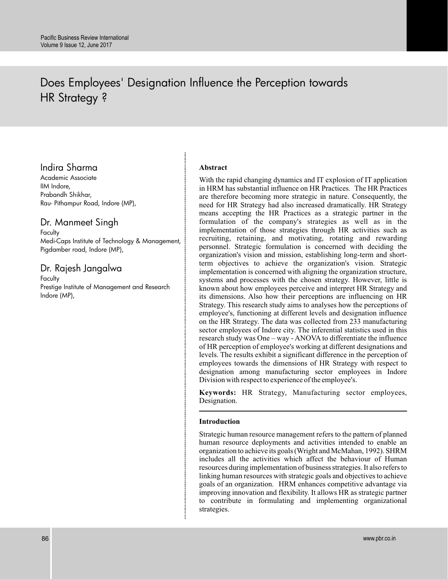# Does Employees' Designation Influence the Perception towards HR Strategy ?

## Indira Sharma

Academic Associate IIM Indore, Prabandh Shikhar, Rau- Pithampur Road, Indore (MP),

### Dr. Manmeet Singh

**Faculty** Medi-Caps Institute of Technology & Management, Pigdamber road, Indore (MP),

### Dr. Rajesh Jangalwa

**Faculty** Prestige Institute of Management and Research Indore (MP),

### **Abstract**

With the rapid changing dynamics and IT explosion of IT application in HRM has substantial influence on HR Practices. The HR Practices are therefore becoming more strategic in nature. Consequently, the need for HR Strategy had also increased dramatically. HR Strategy means accepting the HR Practices as a strategic partner in the formulation of the company's strategies as well as in the implementation of those strategies through HR activities such as recruiting, retaining, and motivating, rotating and rewarding personnel. Strategic formulation is concerned with deciding the organization's vision and mission, establishing long-term and shortterm objectives to achieve the organization's vision. Strategic implementation is concerned with aligning the organization structure, systems and processes with the chosen strategy. However, little is known about how employees perceive and interpret HR Strategy and its dimensions. Also how their perceptions are influencing on HR Strategy. This research study aims to analyses how the perceptions of employee's, functioning at different levels and designation influence on the HR Strategy. The data was collected from 233 manufacturing sector employees of Indore city. The inferential statistics used in this research study was One – way - ANOVA to differentiate the influence of HR perception of employee's working at different designations and levels. The results exhibit a significant difference in the perception of employees towards the dimensions of HR Strategy with respect to designation among manufacturing sector employees in Indore Division with respect to experience of the employee's.

**Keywords:** HR Strategy, Manufacturing sector employees, Designation.

#### **Introduction**

Strategic human resource management refers to the pattern of planned human resource deployments and activities intended to enable an organization to achieve its goals (Wright and McMahan, 1992). SHRM includes all the activities which affect the behaviour of Human resources during implementation of business strategies. It also refers to linking human resources with strategic goals and objectives to achieve goals of an organization. HRM enhances competitive advantage via improving innovation and flexibility. It allows HR as strategic partner to contribute in formulating and implementing organizational strategies.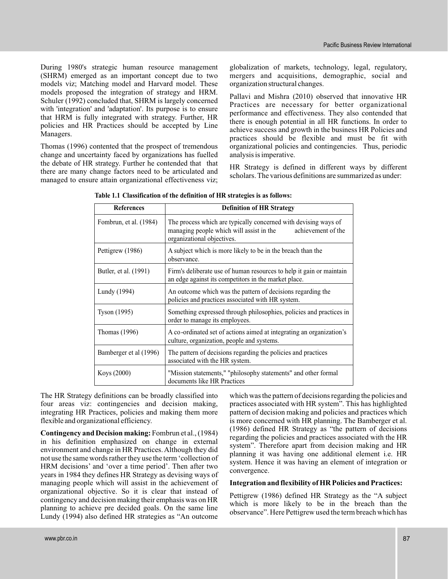During 1980's strategic human resource management (SHRM) emerged as an important concept due to two models viz; Matching model and Harvard model. These models proposed the integration of strategy and HRM. Schuler (1992) concluded that, SHRM is largely concerned with 'integration' and 'adaptation'. Its purpose is to ensure that HRM is fully integrated with strategy. Further, HR policies and HR Practices should be accepted by Line Managers.

Thomas (1996) contented that the prospect of tremendous change and uncertainty faced by organizations has fuelled the debate of HR strategy. Further he contended that that there are many change factors need to be articulated and managed to ensure attain organizational effectiveness viz;

globalization of markets, technology, legal, regulatory, mergers and acquisitions, demographic, social and organization structural changes.

Pallavi and Mishra (2010) observed that innovative HR Practices are necessary for better organizational performance and effectiveness. They also contended that there is enough potential in all HR functions. In order to achieve success and growth in the business HR Policies and practices should be flexible and must be fit with organizational policies and contingencies. Thus, periodic analysis is imperative.

HR Strategy is defined in different ways by different scholars. The various definitions are summarized as under:

| <b>References</b>      | <b>Definition of HR Strategy</b>                                                                                                                                |  |  |  |  |  |
|------------------------|-----------------------------------------------------------------------------------------------------------------------------------------------------------------|--|--|--|--|--|
| Fombrun, et al. (1984) | The process which are typically concerned with devising ways of<br>achievement of the<br>managing people which will assist in the<br>organizational objectives. |  |  |  |  |  |
| Pettigrew (1986)       | A subject which is more likely to be in the breach than the<br>observance.                                                                                      |  |  |  |  |  |
| Butler, et al. (1991)  | Firm's deliberate use of human resources to help it gain or maintain<br>an edge against its competitors in the market place.                                    |  |  |  |  |  |
| Lundy (1994)           | An outcome which was the pattern of decisions regarding the<br>policies and practices associated with HR system.                                                |  |  |  |  |  |
| Tyson (1995)           | Something expressed through philosophies, policies and practices in<br>order to manage its employees.                                                           |  |  |  |  |  |
| Thomas (1996)          | A co-ordinated set of actions aimed at integrating an organization's<br>culture, organization, people and systems.                                              |  |  |  |  |  |
| Bamberger et al (1996) | The pattern of decisions regarding the policies and practices<br>associated with the HR system.                                                                 |  |  |  |  |  |
| Koys (2000)            | "Mission statements," "philosophy statements" and other formal<br>documents like HR Practices                                                                   |  |  |  |  |  |

**Table 1.1 Classification of the definition of HR strategies is as follows:**

The HR Strategy definitions can be broadly classified into four areas viz: contingencies and decision making, integrating HR Practices, policies and making them more flexible and organizational efficiency.

**Contingency and Decision making:** Fombrun et al., (1984) in his definition emphasized on change in external environment and change in HR Practices. Although they did not use the same words rather they use the term'collection of HRM decisions' and 'over a time period'. Then after two years in 1984 they defines HR Strategy as devising ways of managing people which will assist in the achievement of organizational objective. So it is clear that instead of contingency and decision making their emphasis was on HR planning to achieve pre decided goals. On the same line Lundy (1994) also defined HR strategies as "An outcome

which was the pattern of decisions regarding the policies and practices associated with HR system". This has highlighted pattern of decision making and policies and practices which is more concerned with HR planning. The Bamberger et al. (1986) defined HR Strategy as "the pattern of decisions regarding the policies and practices associated with the HR system". Therefore apart from decision making and HR planning it was having one additional element i.e. HR system. Hence it was having an element of integration or convergence.

#### **Integration and flexibility of HR Policies and Practices:**

Pettigrew (1986) defined HR Strategy as the "A subject which is more likely to be in the breach than the observance". Here Pettigrew used the term breach which has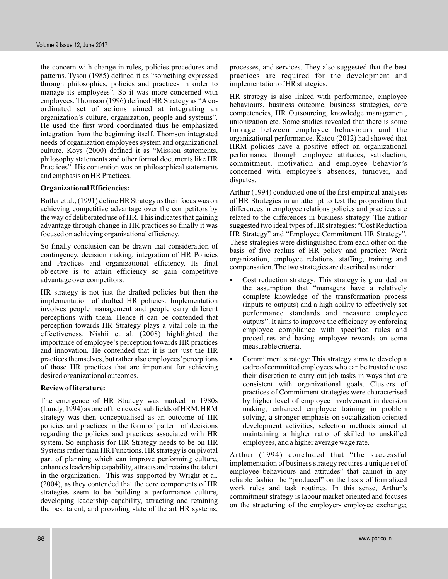the concern with change in rules, policies procedures and patterns. Tyson (1985) defined it as "something expressed through philosophies, policies and practices in order to manage its employees". So it was more concerned with employees. Thomson (1996) defined HR Strategy as "A coordinated set of actions aimed at integrating an organization's culture, organization, people and systems". He used the first word coordinated thus he emphasized integration from the beginning itself. Thomson integrated needs of organization employees system and organizational culture. Koys (2000) defined it as "Mission statements, philosophy statements and other formal documents like HR Practices". His contention was on philosophical statements and emphasis on HR Practices.

#### **Organizational Efficiencies:**

Butler et al., (1991) define HR Strategy as their focus was on achieving competitive advantage over the competitors by the way of deliberated use of HR. This indicates that gaining advantage through change in HR practices so finally it was focused on achieving organizational efficiency.

So finally conclusion can be drawn that consideration of contingency, decision making, integration of HR Policies and Practices and organizational efficiency. Its final objective is to attain efficiency so gain competitive advantage over competitors.

HR strategy is not just the drafted policies but then the implementation of drafted HR policies. Implementation involves people management and people carry different perceptions with them. Hence it can be contended that perception towards HR Strategy plays a vital role in the effectiveness. Nishii et al. (2008) highlighted the importance of employee's perception towards HR practices and innovation. He contended that it is not just the HR practices themselves, but rather also employees'perceptions of those HR practices that are important for achieving desired organizational outcomes.

#### **Review of literature:**

The emergence of HR Strategy was marked in 1980s (Lundy, 1994) as one of the newest sub fields of HRM. HRM strategy was then conceptualised as an outcome of HR policies and practices in the form of pattern of decisions regarding the policies and practices associated with HR system. So emphasis for HR Strategy needs to be on HR Systems rather than HR Functions. HR strategy is on pivotal part of planning which can improve performing culture, enhances leadership capability, attracts and retains the talent in the organization. This was supported by Wright et al. (2004), as they contended that the core components of HR strategies seem to be building a performance culture, developing leadership capability, attracting and retaining the best talent, and providing state of the art HR systems,

processes, and services. They also suggested that the best practices are required for the development and implementation of HR strategies.

HR strategy is also linked with performance, employee behaviours, business outcome, business strategies, core competencies, HR Outsourcing, knowledge management, unionization etc. Some studies revealed that there is some linkage between employee behaviours and the organizational performance. Katou (2012) had showed that HRM policies have a positive effect on organizational performance through employee attitudes, satisfaction, commitment, motivation and employee behavior's concerned with employee's absences, turnover, and disputes.

Arthur (1994) conducted one of the first empirical analyses of HR Strategies in an attempt to test the proposition that differences in employee relations policies and practices are related to the differences in business strategy. The author suggested two ideal types of HR strategies: "Cost Reduction HR Strategy" and "Employee Commitment HR Strategy". These strategies were distinguished from each other on the basis of five realms of HR policy and practice: Work organization, employee relations, staffing, training and compensation. The two strategies are described as under:

- Cost reduction strategy: This strategy is grounded on the assumption that "managers have a relatively complete knowledge of the transformation process (inputs to outputs) and a high ability to effectively set performance standards and measure employee outputs". It aims to improve the efficiency by enforcing employee compliance with specified rules and procedures and basing employee rewards on some measurable criteria. .
- Commitment strategy: This strategy aims to develop a cadre of committed employees who can be trusted to use their discretion to carry out job tasks in ways that are consistent with organizational goals. Clusters of practices of Commitment strategies were characterised by higher level of employee involvement in decision making, enhanced employee training in problem solving, a stronger emphasis on socialization oriented development activities, selection methods aimed at maintaining a higher ratio of skilled to unskilled employees, and a higher average wage rate. .

Arthur (1994) concluded that "the successful implementation of business strategy requires a unique set of employee behaviours and attitudes" that cannot in any reliable fashion be "produced" on the basis of formalized work rules and task routines. In this sense, Arthur's commitment strategy is labour market oriented and focuses on the structuring of the employer- employee exchange;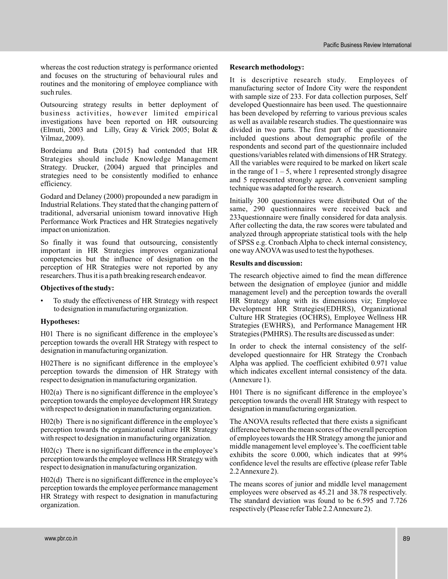whereas the cost reduction strategy is performance oriented and focuses on the structuring of behavioural rules and routines and the monitoring of employee compliance with such rules.

Outsourcing strategy results in better deployment of business activities, however limited empirical investigations have been reported on HR outsourcing (Elmuti, 2003 and Lilly, Gray & Virick 2005; Bolat & Yilmaz, 2009).

Bordeianu and Buta (2015) had contended that HR Strategies should include Knowledge Management Strategy. Drucker, (2004) argued that principles and strategies need to be consistently modified to enhance efficiency.

Godard and Delaney (2000) propounded a new paradigm in Industrial Relations. They stated that the changing pattern of traditional, adversarial unionism toward innovative High Performance Work Practices and HR Strategies negatively impact on unionization.

So finally it was found that outsourcing, consistently important in HR Strategies improves organizational competencies but the influence of designation on the perception of HR Strategies were not reported by any researchers. Thus it is a path breaking research endeavor.

#### **Objectives of the study:**

To study the effectiveness of HR Strategy with respect to designation in manufacturing organization.

#### **Hypotheses:**

H01 There is no significant difference in the employee's perception towards the overall HR Strategy with respect to designation in manufacturing organization.

H02There is no significant difference in the employee's perception towards the dimension of HR Strategy with respect to designation in manufacturing organization.

H02(a) There is no significant difference in the employee's perception towards the employee development HR Strategy with respect to designation in manufacturing organization.

H02(b) There is no significant difference in the employee's perception towards the organizational culture HR Strategy with respect to designation in manufacturing organization.

H02(c) There is no significant difference in the employee's perception towards the employee wellness HR Strategy with respect to designation in manufacturing organization.

H02(d) There is no significant difference in the employee's perception towards the employee performance management HR Strategy with respect to designation in manufacturing organization.

#### **Research methodology:**

It is descriptive research study. Employees of manufacturing sector of Indore City were the respondent with sample size of 233. For data collection purposes, Self developed Questionnaire has been used. The questionnaire has been developed by referring to various previous scales as well as available research studies. The questionnaire was divided in two parts. The first part of the questionnaire included questions about demographic profile of the respondents and second part of the questionnaire included questions/variables related with dimensions of HR Strategy. All the variables were required to be marked on likert scale in the range of  $1 - 5$ , where 1 represented strongly disagree and 5 represented strongly agree. A convenient sampling technique was adapted for the research.

Initially 300 questionnaires were distributed Out of the same, 290 questionnaires were received back and 233questionnaire were finally considered for data analysis. After collecting the data, the raw scores were tabulated and analyzed through appropriate statistical tools with the help of SPSS e.g. Cronbach Alpha to check internal consistency, one wayANOVAwas used to test the hypotheses.

#### **Results and discussion:**

The research objective aimed to find the mean difference between the designation of employee (junior and middle management level) and the perception towards the overall HR Strategy along with its dimensions viz; Employee Development HR Strategies(EDHRS), Organizational Culture HR Strategies (OCHRS), Employee Wellness HR Strategies (EWHRS), and Performance Management HR Strategies (PMHRS). The results are discussed as under:

In order to check the internal consistency of the selfdeveloped questionnaire for HR Strategy the Cronbach Alpha was applied. The coefficient exhibited 0.971 value which indicates excellent internal consistency of the data. (Annexure 1).

H01 There is no significant difference in the employee's perception towards the overall HR Strategy with respect to designation in manufacturing organization.

The ANOVA results reflected that there exists a significant difference between the mean scores of the overall perception of employees towards the HR Strategy among the junior and middle management level employee's. The coefficient table exhibits the score 0.000, which indicates that at 99% confidence level the results are effective (please refer Table 2.2Annexure 2).

The means scores of junior and middle level management employees were observed as 45.21 and 38.78 respectively. The standard deviation was found to be 6.595 and 7.726 respectively (Please refer Table 2.2Annexure 2).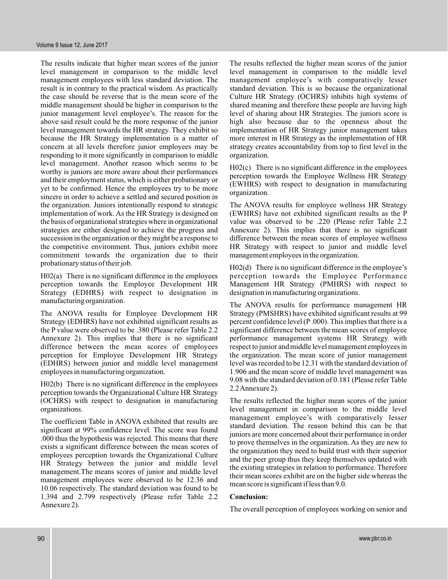The results indicate that higher mean scores of the junior level management in comparison to the middle level management employees with less standard deviation. The result is in contrary to the practical wisdom. As practically the case should be reverse that is the mean score of the middle management should be higher in comparison to the junior management level employee's. The reason for the above said result could be the more response of the junior level management towards the HR strategy. They exhibit so because the HR Strategy implementation is a matter of concern at all levels therefore junior employees may be responding to it more significantly in comparison to middle level management. Another reason which seems to be worthy is juniors are more aware about their performances and their employment status, which is either probationary or yet to be confirmed. Hence the employees try to be more sincere in order to achieve a settled and secured position in the organization. Juniors intentionally respond to strategic implementation of work. As the HR Strategy is designed on the basis of organizational strategies where in organizational strategies are either designed to achieve the progress and succession in the organization or they might be a response to the competitive environment. Thus, juniors exhibit more commitment towards the organization due to their probationary status of their job.

H02(a) There is no significant difference in the employees perception towards the Employee Development HR Strategy (EDHRS) with respect to designation in manufacturing organization.

The ANOVA results for Employee Development HR Strategy (EDHRS) have not exhibited significant results as the P value were observed to be .380 (Please refer Table 2.2 Annexure 2). This implies that there is no significant difference between the mean scores of employees perception for Employee Development HR Strategy (EDHRS) between junior and middle level management employees in manufacturing organization.

H02(b) There is no significant difference in the employees perception towards the Organizational Culture HR Strategy (OCHRS) with respect to designation in manufacturing organizations.

The coefficient Table in ANOVA exhibited that results are significant at 99% confidence level. The score was found .000 thus the hypothesis was rejected. This means that there exists a significant difference between the mean scores of employees perception towards the Organizational Culture HR Strategy between the junior and middle level management.The means scores of junior and middle level management employees were observed to be 12.36 and 10.06 respectively. The standard deviation was found to be 1.394 and 2.799 respectively (Please refer Table 2.2 Annexure 2).

The results reflected the higher mean scores of the junior level management in comparison to the middle level management employee's with comparatively lesser standard deviation. This is so because the organizational Culture HR Strategy (OCHRS) inhibits high systems of shared meaning and therefore these people are having high level of sharing about HR Strategies. The juniors score is high also because due to the openness about the implementation of HR Strategy junior management takes more interest in HR Strategy as the implementation of HR strategy creates accountability from top to first level in the organization.

H02(c) There is no significant difference in the employees perception towards the Employee Wellness HR Strategy (EWHRS) with respect to designation in manufacturing organization.

The ANOVA results for employee wellness HR Strategy (EWHRS) have not exhibited significant results as the P value was observed to be .220 (Please refer Table 2.2 Annexure 2). This implies that there is no significant difference between the mean scores of employee wellness HR Strategy with respect to junior and middle level management employees in the organization.

H02(d) There is no significant difference in the employee's perception towards the Employee Performance Management HR Strategy (PMHRS) with respect to designation in manufacturing organizations.

The ANOVA results for performance management HR Strategy (PMSHRS) have exhibited significant results at 99 percent confidence level (P .000). This implies that there is a significant difference between the mean scores of employee performance management systems HR Strategy with respect to junior and middle level management employees in the organization. The mean score of junior management level was recorded to be 12.31 with the standard deviation of 1.906 and the mean score of middle level management was 9.08 with the standard deviation of 0.181 (Please refer Table 2.2Annexure 2).

The results reflected the higher mean scores of the junior level management in comparison to the middle level management employee's with comparatively lesser standard deviation. The reason behind this can be that juniors are more concerned about their performance in order to prove themselves in the organization. As they are new to the organization they need to build trust with their superior and the peer group thus they keep themselves updated with the existing strategies in relation to performance. Therefore their mean scores exhibit are on the higher side whereas the mean score is significant if less than 9.0.

#### **Conclusion:**

The overall perception of employees working on senior and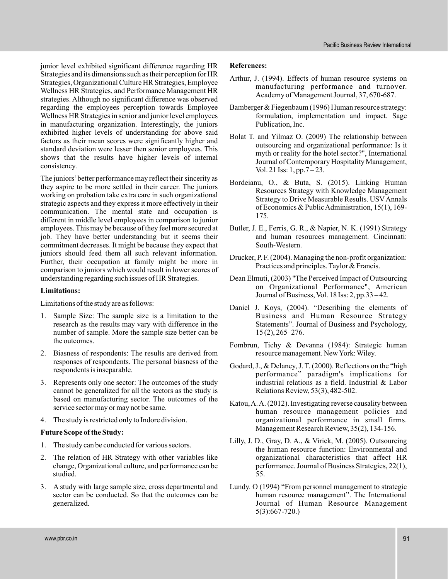junior level exhibited significant difference regarding HR Strategies and its dimensions such as their perception for HR Strategies, Organizational Culture HR Strategies, Employee Wellness HR Strategies, and Performance Management HR strategies. Although no significant difference was observed regarding the employees perception towards Employee Wellness HR Strategies in senior and junior level employees in manufacturing organization. Interestingly, the juniors exhibited higher levels of understanding for above said factors as their mean scores were significantly higher and standard deviation were lesser then senior employees. This shows that the results have higher levels of internal consistency.

The juniors'better performance may reflect their sincerity as they aspire to be more settled in their career. The juniors working on probation take extra care in such organizational strategic aspects and they express it more effectively in their communication. The mental state and occupation is different in middle level employees in comparison to junior employees. This may be because of they feel more secured at job. They have better understanding but it seems their commitment decreases. It might be because they expect that juniors should feed them all such relevant information. Further, their occupation at family might be more in comparison to juniors which would result in lower scores of understanding regarding such issues of HR Strategies.

#### **Limitations:**

Limitations of the study are as follows:

- 1. Sample Size: The sample size is a limitation to the research as the results may vary with difference in the number of sample. More the sample size better can be the outcomes.
- 2. Biasness of respondents: The results are derived from responses of respondents. The personal biasness of the respondents is inseparable.
- 3. Represents only one sector: The outcomes of the study cannot be generalized for all the sectors as the study is based on manufacturing sector. The outcomes of the service sector may or may not be same.
- 4. The study is restricted only to Indore division.

#### **Future Scope of the Study:**

- 1. The study can be conducted for various sectors.
- 2. The relation of HR Strategy with other variables like change, Organizational culture, and performance can be studied.
- 3. A study with large sample size, cross departmental and sector can be conducted. So that the outcomes can be generalized.

#### **References:**

- Arthur, J. (1994). Effects of human resource systems on manufacturing performance and turnover. Academy of Management Journal, 37, 670-687.
- Bamberger & Fiegenbaum (1996) Human resource strategy: formulation, implementation and impact. Sage Publication, Inc.
- Bolat T. and Yilmaz O. (2009) The relationship between outsourcing and organizational performance: Is it myth or reality for the hotel sector?", International Journal of Contemporary Hospitality Management, Vol. 21 Iss: 1, pp.7 – 23.
- Bordeianu, O., & Buta, S. (2015). Linking Human Resources Strategy with Knowledge Management Strategy to Drive Measurable Results. USVAnnals of Economics & PublicAdministration, 15(1), 169- 175.
- Butler, J. E., Ferris, G. R., & Napier, N. K. (1991) Strategy and human resources management. Cincinnati: South-Western.
- Drucker, P. F. (2004). Managing the non-profit organization: Practices and principles. Taylor & Francis.
- Dean Elmuti, (2003) "The Perceived Impact of Outsourcing on Organizational Performance", American Journal of Business, Vol. 18 Iss: 2, pp.33 – 42.
- Daniel J. Koys, (2004). "Describing the elements of Business and Human Resource Strategy Statements". Journal of Business and Psychology, 15 (2), 265–276.
- Fombrun, Tichy & Devanna (1984): Strategic human resource management. NewYork: Wiley.
- Godard, J., & Delaney, J. T. (2000). Reflections on the "high performance" paradigm's implications for industrial relations as a field. Industrial & Labor Relations Review, 53(3), 482-502.
- Katou,A.A. (2012). Investigating reverse causality between human resource management policies and organizational performance in small firms. Management Research Review, 35(2), 134-156.
- Lilly, J. D., Gray, D. A., & Virick, M. (2005). Outsourcing the human resource function: Environmental and organizational characteristics that affect HR performance. Journal of Business Strategies, 22(1), 55.
- Lundy. O (1994) "From personnel management to strategic human resource management". The International Journal of Human Resource Management 5(3):667-720.)